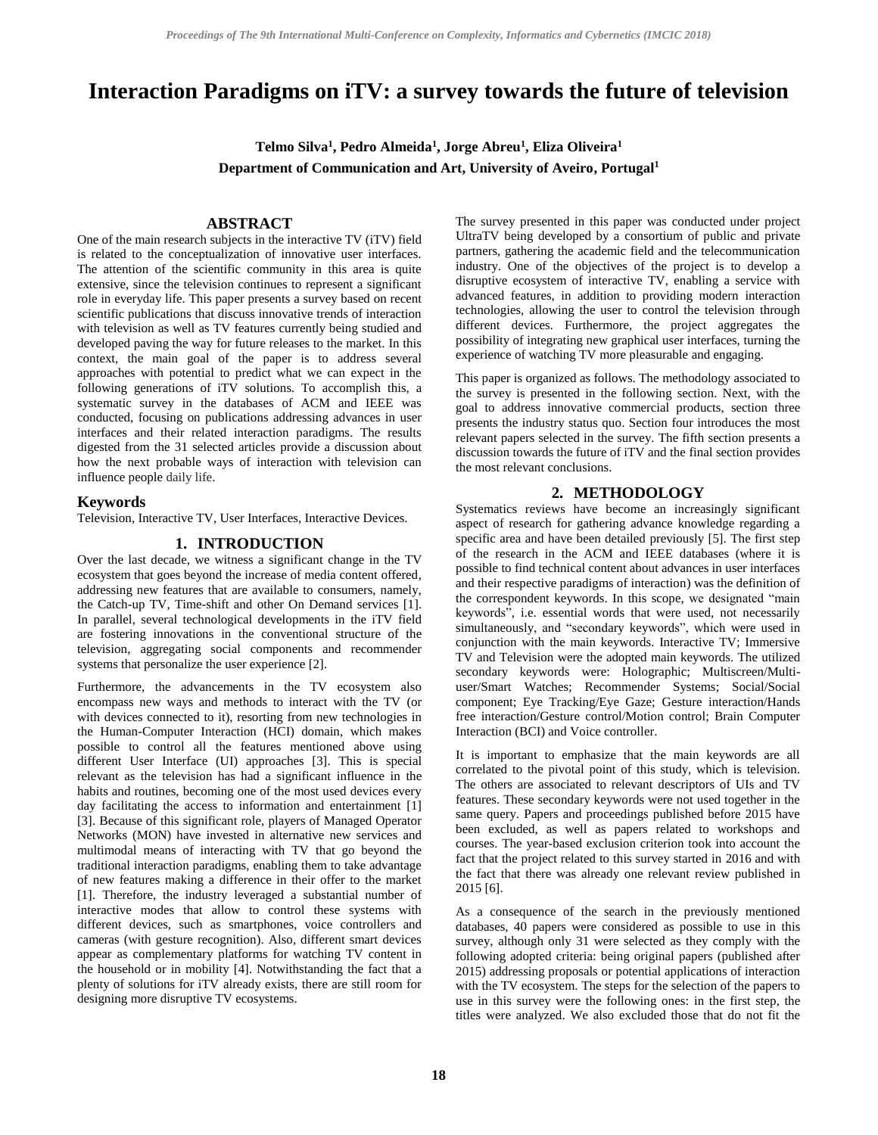# **Interaction Paradigms on iTV: a survey towards the future of television**

**Telmo Silva<sup>1</sup> , Pedro Almeida<sup>1</sup> , Jorge Abreu<sup>1</sup> , Eliza Oliveira<sup>1</sup> Department of Communication and Art, University of Aveiro, Portugal<sup>1</sup>**

# **ABSTRACT**

One of the main research subjects in the interactive TV (iTV) field is related to the conceptualization of innovative user interfaces. The attention of the scientific community in this area is quite extensive, since the television continues to represent a significant role in everyday life. This paper presents a survey based on recent scientific publications that discuss innovative trends of interaction with television as well as TV features currently being studied and developed paving the way for future releases to the market. In this context, the main goal of the paper is to address several approaches with potential to predict what we can expect in the following generations of iTV solutions. To accomplish this, a systematic survey in the databases of ACM and IEEE was conducted, focusing on publications addressing advances in user interfaces and their related interaction paradigms. The results digested from the 31 selected articles provide a discussion about how the next probable ways of interaction with television can influence people daily life.

#### **Keywords**

Television, Interactive TV, User Interfaces, Interactive Devices.

#### **1. INTRODUCTION**

Over the last decade, we witness a significant change in the TV ecosystem that goes beyond the increase of media content offered, addressing new features that are available to consumers, namely, the Catch-up TV, Time-shift and other On Demand services [\[1\].](#page-4-0) In parallel, several technological developments in the iTV field are fostering innovations in the conventional structure of the television, aggregating social components and recommender systems that personalize the user experience [\[2\].](#page-4-1)

Furthermore, the advancements in the TV ecosystem also encompass new ways and methods to interact with the TV (or with devices connected to it), resorting from new technologies in the Human-Computer Interaction (HCI) domain, which makes possible to control all the features mentioned above using different User Interface (UI) approaches [\[3\].](#page-4-2) This is special relevant as the television has had a significant influence in the habits and routines, becoming one of the most used devices every day facilitating the access to information and entertainment [\[1\]](#page-4-0) [\[3\].](#page-4-2) Because of this significant role, players of Managed Operator Networks (MON) have invested in alternative new services and multimodal means of interacting with TV that go beyond the traditional interaction paradigms, enabling them to take advantage of new features making a difference in their offer to the market [\[1\].](#page-4-0) Therefore, the industry leveraged a substantial number of interactive modes that allow to control these systems with different devices, such as smartphones, voice controllers and cameras (with gesture recognition). Also, different smart devices appear as complementary platforms for watching TV content in the household or in mobility [\[4\].](#page-4-3) Notwithstanding the fact that a plenty of solutions for iTV already exists, there are still room for designing more disruptive TV ecosystems.

The survey presented in this paper was conducted under project UltraTV being developed by a consortium of public and private partners, gathering the academic field and the telecommunication industry. One of the objectives of the project is to develop a disruptive ecosystem of interactive TV, enabling a service with advanced features, in addition to providing modern interaction technologies, allowing the user to control the television through different devices. Furthermore, the project aggregates the possibility of integrating new graphical user interfaces, turning the experience of watching TV more pleasurable and engaging.

This paper is organized as follows. The methodology associated to the survey is presented in the following section. Next, with the goal to address innovative commercial products, section three presents the industry status quo. Section four introduces the most relevant papers selected in the survey. The fifth section presents a discussion towards the future of iTV and the final section provides the most relevant conclusions.

### **2. METHODOLOGY**

Systematics reviews have become an increasingly significant aspect of research for gathering advance knowledge regarding a specific area and have been detailed previously [\[5\].](#page-4-4) The first step of the research in the ACM and IEEE databases (where it is possible to find technical content about advances in user interfaces and their respective paradigms of interaction) was the definition of the correspondent keywords. In this scope, we designated "main keywords", i.e. essential words that were used, not necessarily simultaneously, and "secondary keywords", which were used in conjunction with the main keywords. Interactive TV; Immersive TV and Television were the adopted main keywords. The utilized secondary keywords were: Holographic; Multiscreen/Multiuser/Smart Watches; Recommender Systems; Social/Social component; Eye Tracking/Eye Gaze; Gesture interaction/Hands free interaction/Gesture control/Motion control; Brain Computer Interaction (BCI) and Voice controller.

It is important to emphasize that the main keywords are all correlated to the pivotal point of this study, which is television. The others are associated to relevant descriptors of UIs and TV features. These secondary keywords were not used together in the same query. Papers and proceedings published before 2015 have been excluded, as well as papers related to workshops and courses. The year-based exclusion criterion took into account the fact that the project related to this survey started in 2016 and with the fact that there was already one relevant review published in 2015 [\[6\].](#page-4-5)

As a consequence of the search in the previously mentioned databases, 40 papers were considered as possible to use in this survey, although only 31 were selected as they comply with the following adopted criteria: being original papers (published after 2015) addressing proposals or potential applications of interaction with the TV ecosystem. The steps for the selection of the papers to use in this survey were the following ones: in the first step, the titles were analyzed. We also excluded those that do not fit the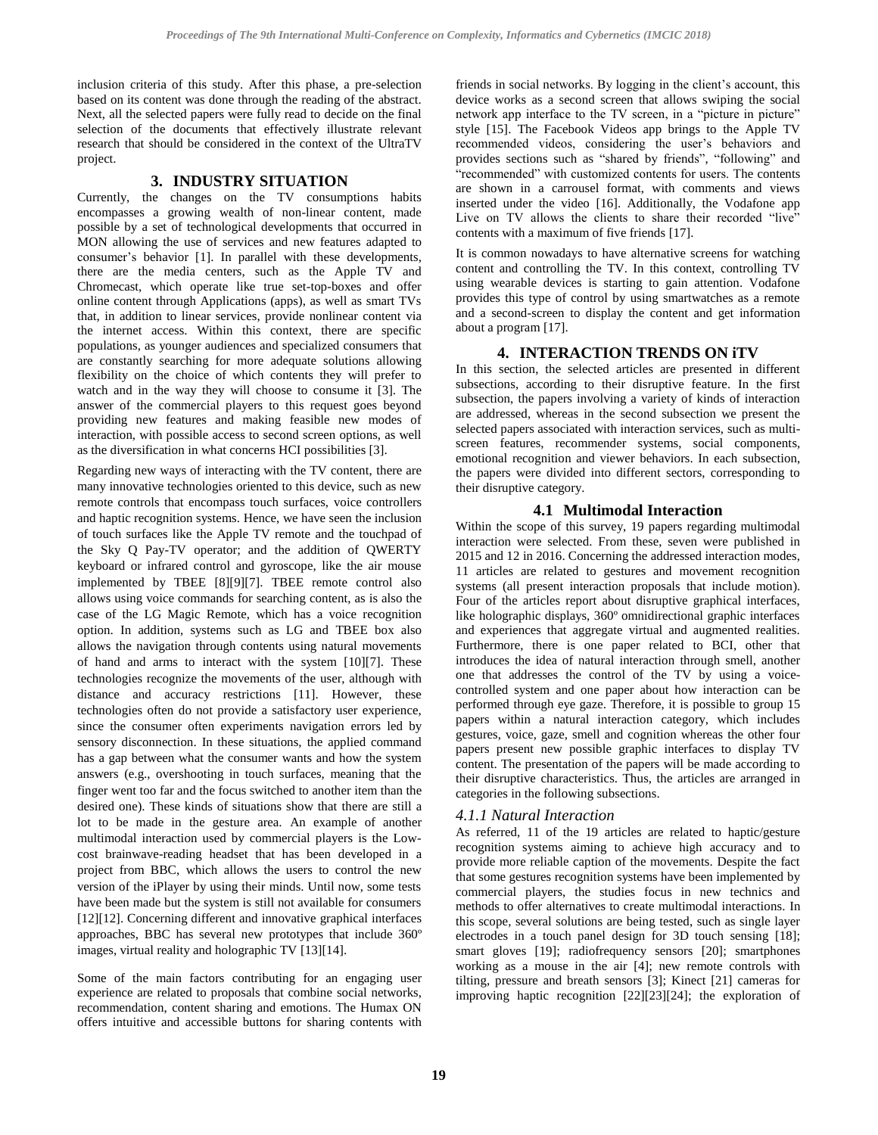inclusion criteria of this study. After this phase, a pre-selection based on its content was done through the reading of the abstract. Next, all the selected papers were fully read to decide on the final selection of the documents that effectively illustrate relevant research that should be considered in the context of the UltraTV project.

# **3. INDUSTRY SITUATION**

Currently, the changes on the TV consumptions habits encompasses a growing wealth of non-linear content, made possible by a set of technological developments that occurred in MON allowing the use of services and new features adapted to consumer's behavior [\[1\].](#page-4-0) In parallel with these developments, there are the media centers, such as the Apple TV and Chromecast, which operate like true set-top-boxes and offer online content through Applications (apps), as well as smart TVs that, in addition to linear services, provide nonlinear content via the internet access. Within this context, there are specific populations, as younger audiences and specialized consumers that are constantly searching for more adequate solutions allowing flexibility on the choice of which contents they will prefer to watch and in the way they will choose to consume it [\[3\].](#page-4-2) The answer of the commercial players to this request goes beyond providing new features and making feasible new modes of interaction, with possible access to second screen options, as well as the diversification in what concerns HCI possibilities [\[3\].](#page-4-2)

Regarding new ways of interacting with the TV content, there are many innovative technologies oriented to this device, such as new remote controls that encompass touch surfaces, voice controllers and haptic recognition systems. Hence, we have seen the inclusion of touch surfaces like the Apple TV remote and the touchpad of the Sky Q Pay-TV operator; and the addition of QWERTY keyboard or infrared control and gyroscope, like the air mouse implemented by TBEE [\[8\]\[9\]](#page-4-6)[\[7\].](#page-4-7) TBEE remote control also allows using voice commands for searching content, as is also the case of the LG Magic Remote, which has a voice recognition option. In addition, systems such as LG and TBEE box also allows the navigation through contents using natural movements of hand and arms to interact with the system [\[10\]\[7\].](#page-4-8) These technologies recognize the movements of the user, although with distance and accuracy restrictions [\[11\].](#page-4-9) However, these technologies often do not provide a satisfactory user experience, since the consumer often experiments navigation errors led by sensory disconnection. In these situations, the applied command has a gap between what the consumer wants and how the system answers (e.g., overshooting in touch surfaces, meaning that the finger went too far and the focus switched to another item than the desired one). These kinds of situations show that there are still a lot to be made in the gesture area. An example of another multimodal interaction used by commercial players is the Lowcost brainwave-reading headset that has been developed in a project from BBC, which allows the users to control the new version of the iPlayer by using their minds. Until now, some tests have been made but the system is still not available for consumers [\[12\]\[12\].](#page-4-10) Concerning different and innovative graphical interfaces approaches, BBC has several new prototypes that include 360º images, virtual reality and holographic TV [\[13\]\[14\].](#page-4-11) 

Some of the main factors contributing for an engaging user experience are related to proposals that combine social networks, recommendation, content sharing and emotions. The Humax ON offers intuitive and accessible buttons for sharing contents with

friends in social networks. By logging in the client's account, this device works as a second screen that allows swiping the social network app interface to the TV screen, in a "picture in picture" style [\[15\].](#page-4-12) The Facebook Videos app brings to the Apple TV recommended videos, considering the user's behaviors and provides sections such as "shared by friends", "following" and "recommended" with customized contents for users. The contents are shown in a carrousel format, with comments and views inserted under the video [\[16\].](#page-4-13) Additionally, the Vodafone app Live on TV allows the clients to share their recorded "live" contents with a maximum of five friends [\[17\].](#page-4-14) 

It is common nowadays to have alternative screens for watching content and controlling the TV. In this context, controlling TV using wearable devices is starting to gain attention. Vodafone provides this type of control by using smartwatches as a remote and a second-screen to display the content and get information about a program [\[17\].](#page-4-14)

# **4. INTERACTION TRENDS ON iTV**

In this section, the selected articles are presented in different subsections, according to their disruptive feature. In the first subsection, the papers involving a variety of kinds of interaction are addressed, whereas in the second subsection we present the selected papers associated with interaction services, such as multiscreen features, recommender systems, social components, emotional recognition and viewer behaviors. In each subsection, the papers were divided into different sectors, corresponding to their disruptive category.

# **4.1 Multimodal Interaction**

Within the scope of this survey, 19 papers regarding multimodal interaction were selected. From these, seven were published in 2015 and 12 in 2016. Concerning the addressed interaction modes, 11 articles are related to gestures and movement recognition systems (all present interaction proposals that include motion). Four of the articles report about disruptive graphical interfaces, like holographic displays, 360º omnidirectional graphic interfaces and experiences that aggregate virtual and augmented realities. Furthermore, there is one paper related to BCI, other that introduces the idea of natural interaction through smell, another one that addresses the control of the TV by using a voicecontrolled system and one paper about how interaction can be performed through eye gaze. Therefore, it is possible to group 15 papers within a natural interaction category, which includes gestures, voice, gaze, smell and cognition whereas the other four papers present new possible graphic interfaces to display TV content. The presentation of the papers will be made according to their disruptive characteristics. Thus, the articles are arranged in categories in the following subsections.

# *4.1.1 Natural Interaction*

As referred, 11 of the 19 articles are related to haptic/gesture recognition systems aiming to achieve high accuracy and to provide more reliable caption of the movements. Despite the fact that some gestures recognition systems have been implemented by commercial players, the studies focus in new technics and methods to offer alternatives to create multimodal interactions. In this scope, several solutions are being tested, such as single layer electrodes in a touch panel design for 3D touch sensing [\[18\];](#page-4-15) smart gloves [\[19\];](#page-4-16) radiofrequency sensors [\[20\];](#page-4-17) smartphones working as a mouse in the air [\[4\];](#page-4-3) new remote controls with tilting, pressure and breath sensors [\[3\];](#page-4-2) Kinect [\[21\]](#page-4-18) cameras for improving haptic recognition [\[22\]\[23\]](#page-4-19)[\[24\];](#page-5-0) the exploration of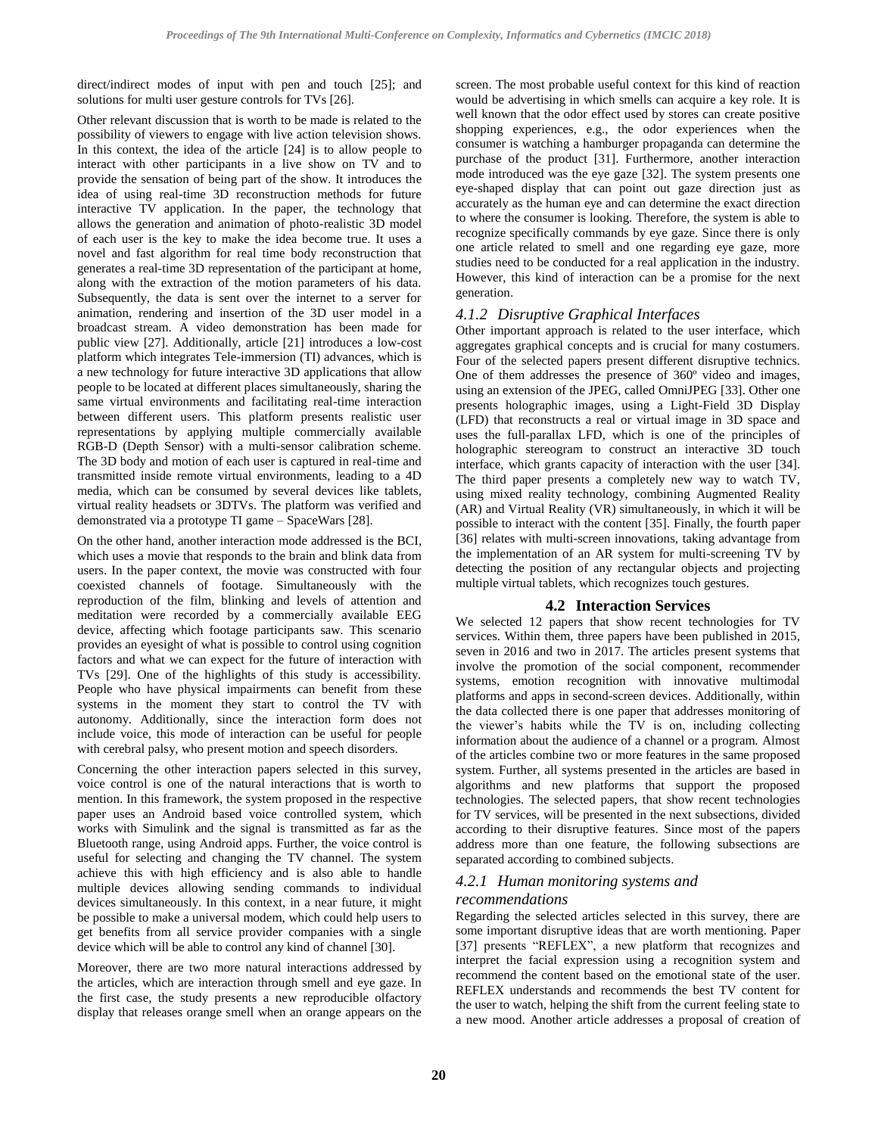direct/indirect modes of input with pen and touch [\[25\];](#page-5-1) and solutions for multi user gesture controls for TVs [\[26\].](#page-5-2)

Other relevant discussion that is worth to be made is related to the possibility of viewers to engage with live action television shows. In this context, the idea of the article [\[24\]](#page-5-0) is to allow people to interact with other participants in a live show on TV and to provide the sensation of being part of the show. It introduces the idea of using real-time 3D reconstruction methods for future interactive TV application. In the paper, the technology that allows the generation and animation of photo-realistic 3D model of each user is the key to make the idea become true. It uses a novel and fast algorithm for real time body reconstruction that generates a real-time 3D representation of the participant at home, along with the extraction of the motion parameters of his data. Subsequently, the data is sent over the internet to a server for animation, rendering and insertion of the 3D user model in a broadcast stream. A video demonstration has been made for public view [\[27\].](#page-5-3) Additionally, article [\[21\]](#page-4-18) introduces a low-cost platform which integrates Tele-immersion (TI) advances, which is a new technology for future interactive 3D applications that allow people to be located at different places simultaneously, sharing the same virtual environments and facilitating real-time interaction between different users. This platform presents realistic user representations by applying multiple commercially available RGB-D (Depth Sensor) with a multi-sensor calibration scheme. The 3D body and motion of each user is captured in real-time and transmitted inside remote virtual environments, leading to a 4D media, which can be consumed by several devices like tablets, virtual reality headsets or 3DTVs. The platform was verified and demonstrated via a prototype TI game – SpaceWars [\[28\].](#page-5-4)

On the other hand, another interaction mode addressed is the BCI, which uses a movie that responds to the brain and blink data from users. In the paper context, the movie was constructed with four coexisted channels of footage. Simultaneously with the reproduction of the film, blinking and levels of attention and meditation were recorded by a commercially available EEG device, affecting which footage participants saw. This scenario provides an eyesight of what is possible to control using cognition factors and what we can expect for the future of interaction with TVs [\[29\].](#page-5-5) One of the highlights of this study is accessibility. People who have physical impairments can benefit from these systems in the moment they start to control the TV with autonomy. Additionally, since the interaction form does not include voice, this mode of interaction can be useful for people with cerebral palsy, who present motion and speech disorders.

Concerning the other interaction papers selected in this survey, voice control is one of the natural interactions that is worth to mention. In this framework, the system proposed in the respective paper uses an Android based voice controlled system, which works with Simulink and the signal is transmitted as far as the Bluetooth range, using Android apps. Further, the voice control is useful for selecting and changing the TV channel. The system achieve this with high efficiency and is also able to handle multiple devices allowing sending commands to individual devices simultaneously. In this context, in a near future, it might be possible to make a universal modem, which could help users to get benefits from all service provider companies with a single device which will be able to control any kind of channel [\[30\].](#page-5-6) 

Moreover, there are two more natural interactions addressed by the articles, which are interaction through smell and eye gaze. In the first case, the study presents a new reproducible olfactory display that releases orange smell when an orange appears on the screen. The most probable useful context for this kind of reaction would be advertising in which smells can acquire a key role. It is well known that the odor effect used by stores can create positive shopping experiences, e.g., the odor experiences when the consumer is watching a hamburger propaganda can determine the purchase of the product [\[31\].](#page-5-7) Furthermore, another interaction mode introduced was the eye gaze [\[32\].](#page-5-8) The system presents one eye-shaped display that can point out gaze direction just as accurately as the human eye and can determine the exact direction to where the consumer is looking. Therefore, the system is able to recognize specifically commands by eye gaze. Since there is only one article related to smell and one regarding eye gaze, more studies need to be conducted for a real application in the industry. However, this kind of interaction can be a promise for the next generation.

# *4.1.2 Disruptive Graphical Interfaces*

Other important approach is related to the user interface, which aggregates graphical concepts and is crucial for many costumers. Four of the selected papers present different disruptive technics. One of them addresses the presence of 360º video and images, using an extension of the JPEG, called OmniJPEG [\[33\].](#page-5-9) Other one presents holographic images, using a Light-Field 3D Display (LFD) that reconstructs a real or virtual image in 3D space and uses the full-parallax LFD, which is one of the principles of holographic stereogram to construct an interactive 3D touch interface, which grants capacity of interaction with the user [\[34\].](#page-5-10) The third paper presents a completely new way to watch TV, using mixed reality technology, combining Augmented Reality (AR) and Virtual Reality (VR) simultaneously, in which it will be possible to interact with the content [\[35\].](#page-5-11) Finally, the fourth paper [\[36\]](#page-5-12) relates with multi-screen innovations, taking advantage from the implementation of an AR system for multi-screening TV by detecting the position of any rectangular objects and projecting multiple virtual tablets, which recognizes touch gestures.

### **4.2 Interaction Services**

We selected 12 papers that show recent technologies for TV services. Within them, three papers have been published in 2015, seven in 2016 and two in 2017. The articles present systems that involve the promotion of the social component, recommender systems, emotion recognition with innovative multimodal platforms and apps in second-screen devices. Additionally, within the data collected there is one paper that addresses monitoring of the viewer's habits while the TV is on, including collecting information about the audience of a channel or a program. Almost of the articles combine two or more features in the same proposed system. Further, all systems presented in the articles are based in algorithms and new platforms that support the proposed technologies. The selected papers, that show recent technologies for TV services, will be presented in the next subsections, divided according to their disruptive features. Since most of the papers address more than one feature, the following subsections are separated according to combined subjects.

### *4.2.1 Human monitoring systems and*

### *recommendations*

Regarding the selected articles selected in this survey, there are some important disruptive ideas that are worth mentioning. Paper [\[37\]](#page-5-13) presents "REFLEX", a new platform that recognizes and interpret the facial expression using a recognition system and recommend the content based on the emotional state of the user. REFLEX understands and recommends the best TV content for the user to watch, helping the shift from the current feeling state to a new mood. Another article addresses a proposal of creation of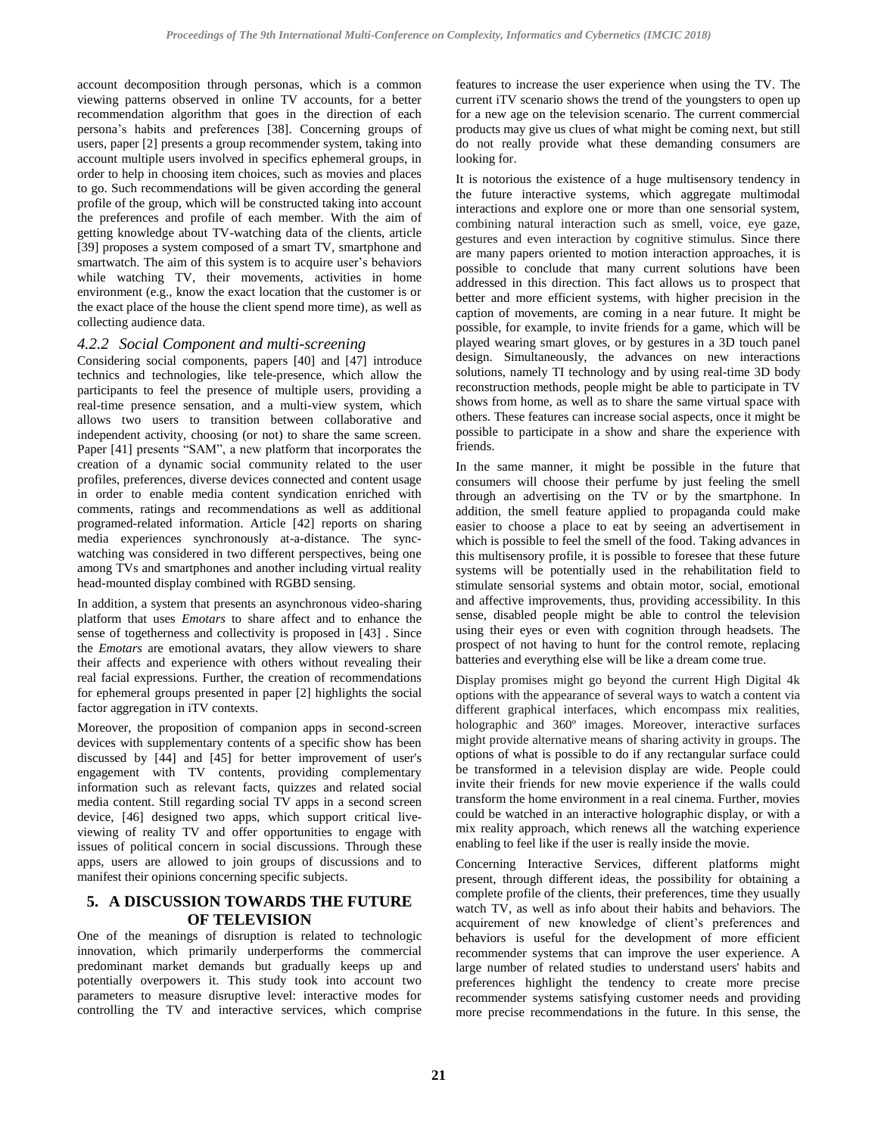account decomposition through personas, which is a common viewing patterns observed in online TV accounts, for a better recommendation algorithm that goes in the direction of each persona's habits and preferences [\[38\].](#page-5-14) Concerning groups of users, pape[r \[2\]](#page-4-1) presents a group recommender system, taking into account multiple users involved in specifics ephemeral groups, in order to help in choosing item choices, such as movies and places to go. Such recommendations will be given according the general profile of the group, which will be constructed taking into account the preferences and profile of each member. With the aim of getting knowledge about TV-watching data of the clients, article [\[39\]](#page-5-15) proposes a system composed of a smart TV, smartphone and smartwatch. The aim of this system is to acquire user's behaviors while watching TV, their movements, activities in home environment (e.g., know the exact location that the customer is or the exact place of the house the client spend more time), as well as collecting audience data.

## *4.2.2 Social Component and multi-screening*

Considering social components, papers [\[40\]](#page-5-16) and [\[47\]](#page-5-17) introduce technics and technologies, like tele-presence, which allow the participants to feel the presence of multiple users, providing a real-time presence sensation, and a multi-view system, which allows two users to transition between collaborative and independent activity, choosing (or not) to share the same screen. Paper [\[41\]](#page-5-18) presents "SAM", a new platform that incorporates the creation of a dynamic social community related to the user profiles, preferences, diverse devices connected and content usage in order to enable media content syndication enriched with comments, ratings and recommendations as well as additional programed-related information. Article [\[42\]](#page-5-19) reports on sharing media experiences synchronously at-a-distance. The syncwatching was considered in two different perspectives, being one among TVs and smartphones and another including virtual reality head-mounted display combined with RGBD sensing.

In addition, a system that presents an asynchronous video-sharing platform that uses *Emotars* to share affect and to enhance the sense of togetherness and collectivity is proposed in [\[43\]](#page-5-20) . Since the *Emotars* are emotional avatars, they allow viewers to share their affects and experience with others without revealing their real facial expressions. Further, the creation of recommendations for ephemeral groups presented in paper [\[2\]](#page-4-1) highlights the social factor aggregation in iTV contexts.

Moreover, the proposition of companion apps in second-screen devices with supplementary contents of a specific show has been discussed by [\[44\]](#page-5-21) and [\[45\]](#page-5-22) for better improvement of user's engagement with TV contents, providing complementary information such as relevant facts, quizzes and related social media content. Still regarding social TV apps in a second screen device, [\[46\]](#page-5-23) designed two apps, which support critical liveviewing of reality TV and offer opportunities to engage with issues of political concern in social discussions. Through these apps, users are allowed to join groups of discussions and to manifest their opinions concerning specific subjects.

# **5. A DISCUSSION TOWARDS THE FUTURE OF TELEVISION**

One of the meanings of disruption is related to technologic innovation, which primarily underperforms the commercial predominant market demands but gradually keeps up and potentially overpowers it. This study took into account two parameters to measure disruptive level: interactive modes for controlling the TV and interactive services, which comprise

features to increase the user experience when using the TV. The current iTV scenario shows the trend of the youngsters to open up for a new age on the television scenario. The current commercial products may give us clues of what might be coming next, but still do not really provide what these demanding consumers are looking for.

It is notorious the existence of a huge multisensory tendency in the future interactive systems, which aggregate multimodal interactions and explore one or more than one sensorial system, combining natural interaction such as smell, voice, eye gaze, gestures and even interaction by cognitive stimulus. Since there are many papers oriented to motion interaction approaches, it is possible to conclude that many current solutions have been addressed in this direction. This fact allows us to prospect that better and more efficient systems, with higher precision in the caption of movements, are coming in a near future. It might be possible, for example, to invite friends for a game, which will be played wearing smart gloves, or by gestures in a 3D touch panel design. Simultaneously, the advances on new interactions solutions, namely TI technology and by using real-time 3D body reconstruction methods, people might be able to participate in TV shows from home, as well as to share the same virtual space with others. These features can increase social aspects, once it might be possible to participate in a show and share the experience with friends.

In the same manner, it might be possible in the future that consumers will choose their perfume by just feeling the smell through an advertising on the TV or by the smartphone. In addition, the smell feature applied to propaganda could make easier to choose a place to eat by seeing an advertisement in which is possible to feel the smell of the food. Taking advances in this multisensory profile, it is possible to foresee that these future systems will be potentially used in the rehabilitation field to stimulate sensorial systems and obtain motor, social, emotional and affective improvements, thus, providing accessibility. In this sense, disabled people might be able to control the television using their eyes or even with cognition through headsets. The prospect of not having to hunt for the control remote, replacing batteries and everything else will be like a dream come true.

Display promises might go beyond the current High Digital 4k options with the appearance of several ways to watch a content via different graphical interfaces, which encompass mix realities, holographic and 360º images. Moreover, interactive surfaces might provide alternative means of sharing activity in groups. The options of what is possible to do if any rectangular surface could be transformed in a television display are wide. People could invite their friends for new movie experience if the walls could transform the home environment in a real cinema. Further, movies could be watched in an interactive holographic display, or with a mix reality approach, which renews all the watching experience enabling to feel like if the user is really inside the movie.

Concerning Interactive Services, different platforms might present, through different ideas, the possibility for obtaining a complete profile of the clients, their preferences, time they usually watch TV, as well as info about their habits and behaviors. The acquirement of new knowledge of client's preferences and behaviors is useful for the development of more efficient recommender systems that can improve the user experience. A large number of related studies to understand users' habits and preferences highlight the tendency to create more precise recommender systems satisfying customer needs and providing more precise recommendations in the future. In this sense, the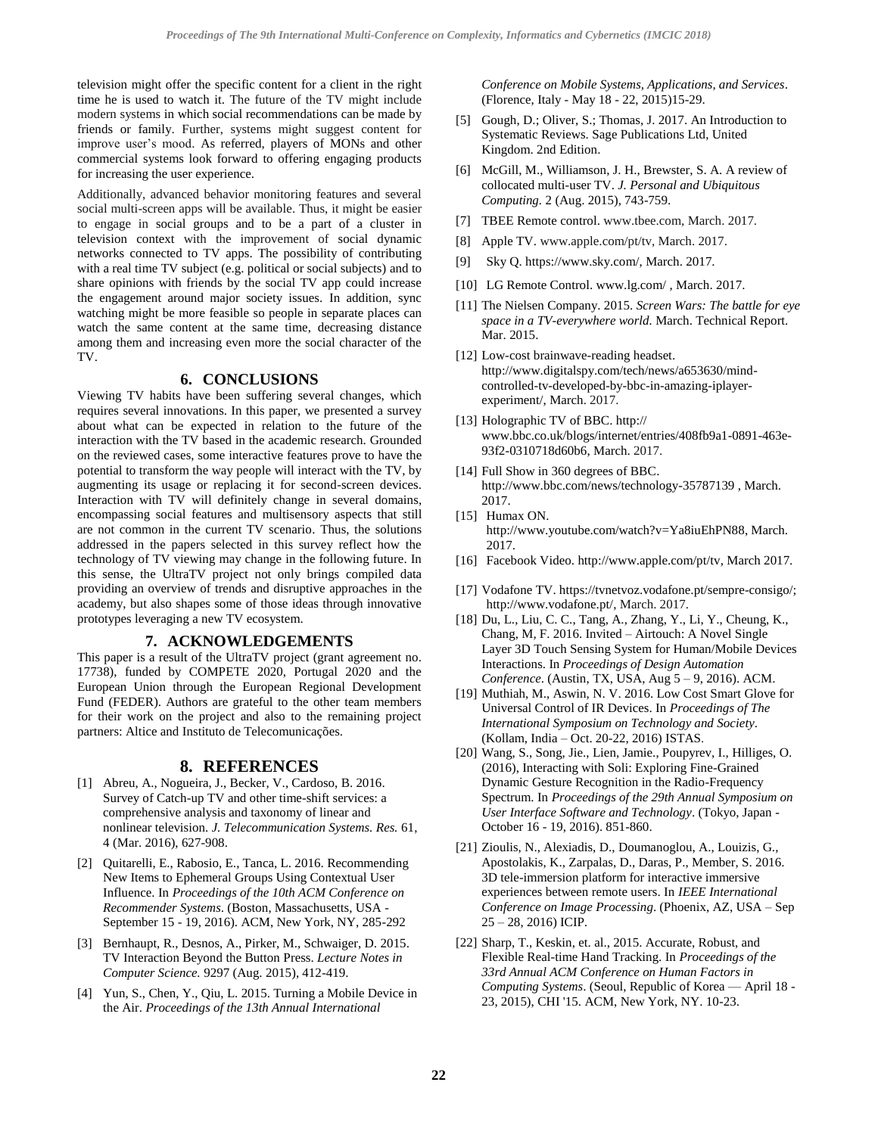television might offer the specific content for a client in the right time he is used to watch it. The future of the TV might include modern systems in which social recommendations can be made by friends or family. Further, systems might suggest content for improve user's mood. As referred, players of MONs and other commercial systems look forward to offering engaging products for increasing the user experience.

Additionally, advanced behavior monitoring features and several social multi-screen apps will be available. Thus, it might be easier to engage in social groups and to be a part of a cluster in television context with the improvement of social dynamic networks connected to TV apps. The possibility of contributing with a real time TV subject (e.g. political or social subjects) and to share opinions with friends by the social TV app could increase the engagement around major society issues. In addition, sync watching might be more feasible so people in separate places can watch the same content at the same time, decreasing distance among them and increasing even more the social character of the TV.

### **6. CONCLUSIONS**

Viewing TV habits have been suffering several changes, which requires several innovations. In this paper, we presented a survey about what can be expected in relation to the future of the interaction with the TV based in the academic research. Grounded on the reviewed cases, some interactive features prove to have the potential to transform the way people will interact with the TV, by augmenting its usage or replacing it for second-screen devices. Interaction with TV will definitely change in several domains, encompassing social features and multisensory aspects that still are not common in the current TV scenario. Thus, the solutions addressed in the papers selected in this survey reflect how the technology of TV viewing may change in the following future. In this sense, the UltraTV project not only brings compiled data providing an overview of trends and disruptive approaches in the academy, but also shapes some of those ideas through innovative prototypes leveraging a new TV ecosystem.

## **7. ACKNOWLEDGEMENTS**

This paper is a result of the UltraTV project (grant agreement no. 17738), funded by COMPETE 2020, Portugal 2020 and the European Union through the European Regional Development Fund (FEDER). Authors are grateful to the other team members for their work on the project and also to the remaining project partners: Altice and Instituto de Telecomunicações.

### **8. REFERENCES**

- <span id="page-4-0"></span>[1] Abreu, A., Nogueira, J., Becker, V., Cardoso, B. 2016. Survey of Catch-up TV and other time-shift services: a comprehensive analysis and taxonomy of linear and nonlinear television. *J. Telecommunication Systems. Res.* 61, 4 (Mar. 2016), 627-908.
- <span id="page-4-1"></span>[2] Quitarelli, E., Rabosio, E., Tanca, L. 2016. Recommending New Items to Ephemeral Groups Using Contextual User Influence. In *Proceedings of the 10th ACM Conference on Recommender Systems*. (Boston, Massachusetts, USA - September 15 - 19, 2016). ACM, New York, NY, 285-292
- <span id="page-4-2"></span>[3] Bernhaupt, R., Desnos, A., Pirker, M., Schwaiger, D. 2015. TV Interaction Beyond the Button Press. *Lecture Notes in Computer Science.* 9297 (Aug. 2015), 412-419.
- <span id="page-4-3"></span>[4] Yun, S., Chen, Y., Qiu, L. 2015. Turning a Mobile Device in the Air. *Proceedings of the 13th Annual International*

*Conference on Mobile Systems, Applications, and Services*. (Florence, Italy - May 18 - 22, 2015)15-29.

- <span id="page-4-4"></span>[5] Gough, D.; Oliver, S.; Thomas, J. 2017. An Introduction to Systematic Reviews. Sage Publications Ltd, United Kingdom. 2nd Edition.
- <span id="page-4-5"></span>[6] McGill, M., Williamson, J. H., Brewster, S. A. A review of collocated multi-user TV. *J. Personal and Ubiquitous Computing.* 2 (Aug. 2015), 743-759.
- <span id="page-4-7"></span>[7] TBEE Remote control. [www.tbee.com,](http://www.tbee.com/) March. 2017.
- <span id="page-4-6"></span>[8] Apple TV[. www.apple.com/](http://www.apple.com/)pt/tv, March. 2017.
- [9] Sky Q. [https://www.sky.com/,](https://www.sky.com/) March. 2017.
- <span id="page-4-8"></span>[10] LG Remote Control[. www.lg.com/](http://www.lg.com/), March. 2017.
- <span id="page-4-9"></span>[11] The Nielsen Company. 2015. *Screen Wars: The battle for eye space in a TV-everywhere world.* March. Technical Report. Mar. 2015.
- <span id="page-4-10"></span>[12] Low-cost brainwave-reading headset. [http://www.digitalspy.com/tech/news/a653630/mind](http://www.digitalspy.com/tech/news/a653630/mind-controlled-tv-developed-by-bbc-in-amazing-iplayer-experiment/)[controlled-tv-developed-by-bbc-in-amazing-iplayer](http://www.digitalspy.com/tech/news/a653630/mind-controlled-tv-developed-by-bbc-in-amazing-iplayer-experiment/)[experiment/,](http://www.digitalspy.com/tech/news/a653630/mind-controlled-tv-developed-by-bbc-in-amazing-iplayer-experiment/) March. 2017.
- <span id="page-4-11"></span>[13] Holographic TV of BBC. http:// [www.bbc.co.uk/blogs/internet/entries/408fb9a1-0891-463e-](http://www.bbc.co.uk/blogs/internet/entries/408fb9a1-0891-463e-93f2-0310718d60b6)[93f2-0310718d60b6,](http://www.bbc.co.uk/blogs/internet/entries/408fb9a1-0891-463e-93f2-0310718d60b6) March. 2017.
- [14] Full Show in 360 degrees of BBC. <http://www.bbc.com/news/technology-35787139> , March. 2017.
- <span id="page-4-12"></span>[15] Humax ON. http:[//www.youtube.com/watch?v=Ya8iuEhPN88,](http://www.youtube.com/watch?v=Ya8iuEhPN88) March. 2017.
- <span id="page-4-13"></span>[16] Facebook Video. [http://www.apple.com/pt/tv,](http://www.apple.com/pt/tv) March 2017.
- <span id="page-4-14"></span>[17] Vodafone TV. [https://tvnetvoz.vodafone.pt/sempre-consigo/;](https://tvnetvoz.vodafone.pt/sempre-consigo/) [http://www.vodafone.pt/,](http://www.vodafone.pt/) March. 2017.
- <span id="page-4-15"></span>[18] Du, L., Liu, C. C., Tang, A., Zhang, Y., Li, Y., Cheung, K., Chang, M, F. 2016. Invited – Airtouch: A Novel Single Layer 3D Touch Sensing System for Human/Mobile Devices Interactions. In *Proceedings of Design Automation Conference*. (Austin, TX, USA, Aug 5 – 9, 2016). ACM.
- <span id="page-4-16"></span>[19] Muthiah, M., Aswin, N. V. 2016. Low Cost Smart Glove for Universal Control of IR Devices. In *Proceedings of The International Symposium on Technology and Society*. (Kollam, India – Oct. 20-22, 2016) ISTAS.
- <span id="page-4-17"></span>[20] Wang, S., Song, Jie., Lien, Jamie., Poupyrev, I., Hilliges, O. (2016), Interacting with Soli: Exploring Fine-Grained Dynamic Gesture Recognition in the Radio-Frequency Spectrum. In *Proceedings of the 29th Annual Symposium on User Interface Software and Technology*. (Tokyo, Japan - October 16 - 19, 2016). 851-860.
- <span id="page-4-18"></span>[21] Zioulis, N., Alexiadis, D., Doumanoglou, A., Louizis, G., Apostolakis, K., Zarpalas, D., Daras, P., Member, S. 2016. 3D tele-immersion platform for interactive immersive experiences between remote users. In *IEEE International Conference on Image Processing*. (Phoenix, AZ, USA – Sep 25 – 28, 2016) ICIP*.*
- <span id="page-4-19"></span>[22] Sharp, T., Keskin, et. al., 2015. Accurate, Robust, and Flexible Real-time Hand Tracking. In *Proceedings of the 33rd Annual ACM Conference on Human Factors in Computing Systems*. (Seoul, Republic of Korea — April 18 - 23, 2015), [CHI '15.](http://chi2015.acm.org/) ACM, New York, NY. 10-23.